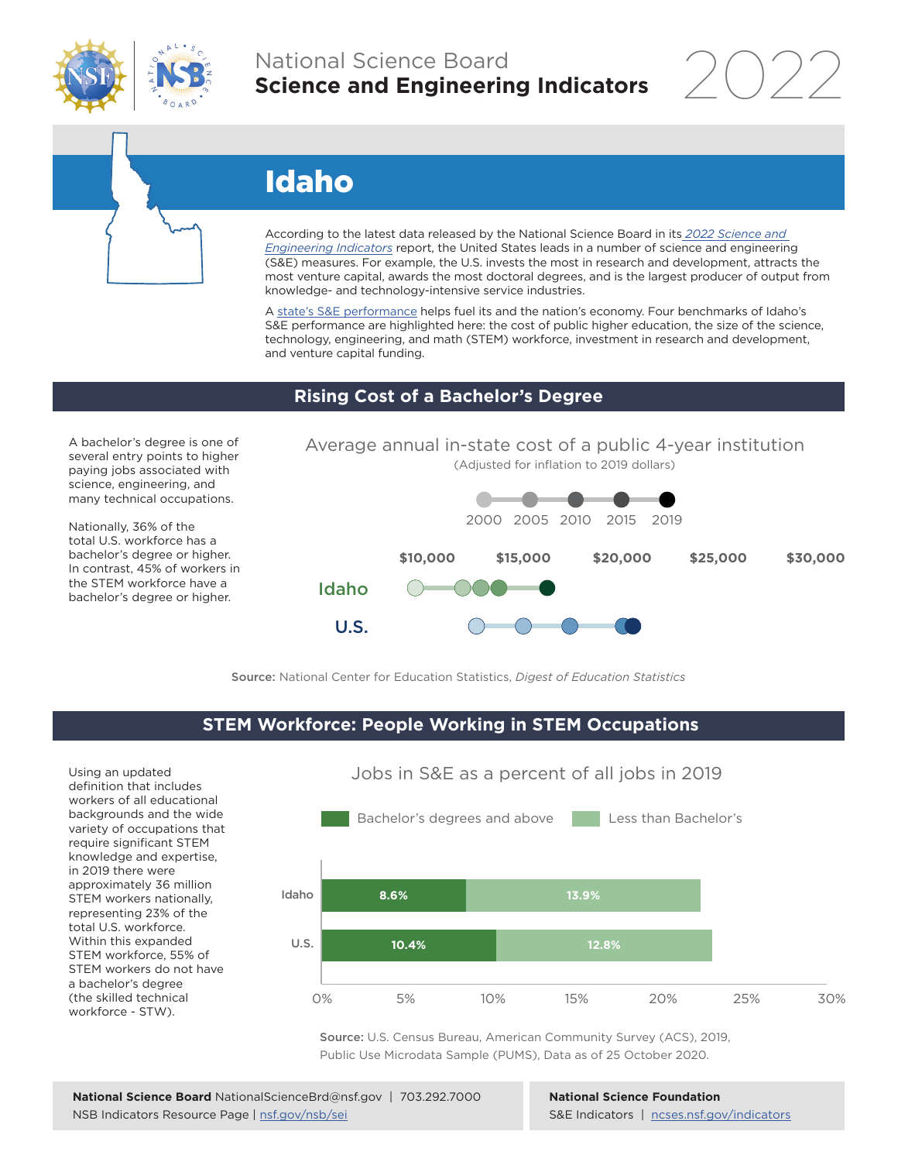

## National Science Board **Science and Engineering Indicators**

2022



# Idaho

According to the latest data released by the National Science Board in its *2022 Science and Engineering Indicators* report, the United States leads in a number of science and engineering (S&E) measures. For example, the U.S. invests the most in research and development, attracts the most venture capital, awards the most doctoral degrees, and is the largest producer of output from knowledge- and technology-intensive service industries.

A state's S&E performance helps fuel its and the nation's economy. Four benchmarks of Idaho's S&E performance are highlighted here: the cost of public higher education, the size of the science, technology, engineering, and math (STEM) workforce, investment in research and development, and venture capital funding.

#### **Rising Cost of a Bachelor's Degree**

A bachelor's degree is one of several entry points to higher paying jobs associated with science, engineering, and many technical occupations.

Nationally, 36% of the total U.S. workforce has a bachelor's degree or higher. In contrast, 45% of workers in the STEM workforce have a bachelor's degree or higher.





Source: National Center for Education Statistics, *Digest of Education Statistics*

#### **STEM Workforce: People Working in STEM Occupations**

Using an updated definition that includes workers of all educational backgrounds and the wide variety of occupations that require significant STEM knowledge and expertise, in 2019 there were approximately 36 million STEM workers nationally, representing 23% of the total U.S. workforce. Within this expanded STEM workforce, 55% of STEM workers do not have a bachelor's degree (the skilled technical workforce - STW).



Jobs in S&E as a percent of all jobs in 2019

Source: U.S. Census Bureau, American Community Survey (ACS), 2019, Public Use Microdata Sample (PUMS), Data as of 25 October 2020.

**National Science Foundation** S&E Indicators | ncses.nsf.gov/indicators